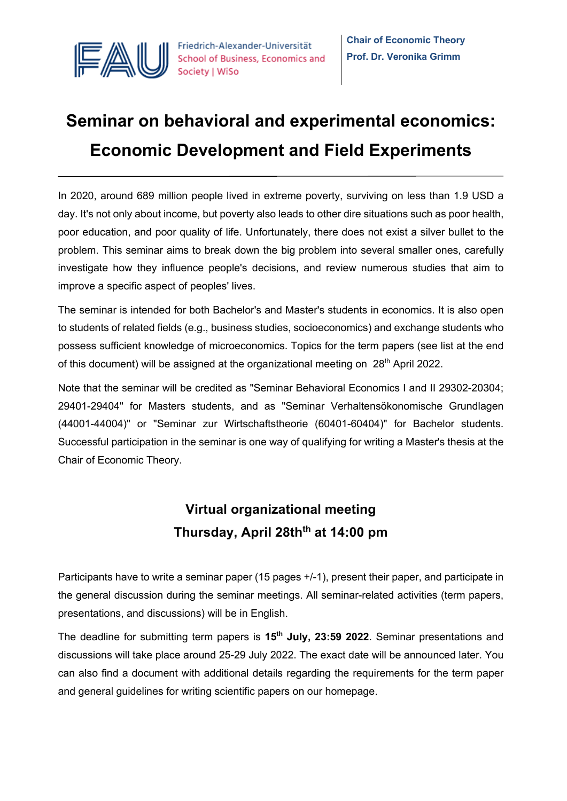

# **Seminar on behavioral and experimental economics: Economic Development and Field Experiments**

In 2020, around 689 million people lived in extreme poverty, surviving on less than 1.9 USD a day. It's not only about income, but poverty also leads to other dire situations such as poor health, poor education, and poor quality of life. Unfortunately, there does not exist a silver bullet to the problem. This seminar aims to break down the big problem into several smaller ones, carefully investigate how they influence people's decisions, and review numerous studies that aim to improve a specific aspect of peoples' lives.

The seminar is intended for both Bachelor's and Master's students in economics. It is also open to students of related fields (e.g., business studies, socioeconomics) and exchange students who possess sufficient knowledge of microeconomics. Topics for the term papers (see list at the end of this document) will be assigned at the organizational meeting on 28<sup>th</sup> April 2022.

Note that the seminar will be credited as "Seminar Behavioral Economics I and II 29302-20304; 29401-29404" for Masters students, and as "Seminar Verhaltensökonomische Grundlagen (44001-44004)" or "Seminar zur Wirtschaftstheorie (60401-60404)" for Bachelor students. Successful participation in the seminar is one way of qualifying for writing a Master's thesis at the Chair of Economic Theory.

# **Virtual organizational meeting**  Thursday, April 28th<sup>th</sup> at 14:00 pm

Participants have to write a seminar paper (15 pages +/-1), present their paper, and participate in the general discussion during the seminar meetings. All seminar-related activities (term papers, presentations, and discussions) will be in English.

The deadline for submitting term papers is **15th July, 23:59 2022**. Seminar presentations and discussions will take place around 25-29 July 2022. The exact date will be announced later. You can also find a document with additional details regarding the requirements for the term paper and general guidelines for writing scientific papers on our homepage.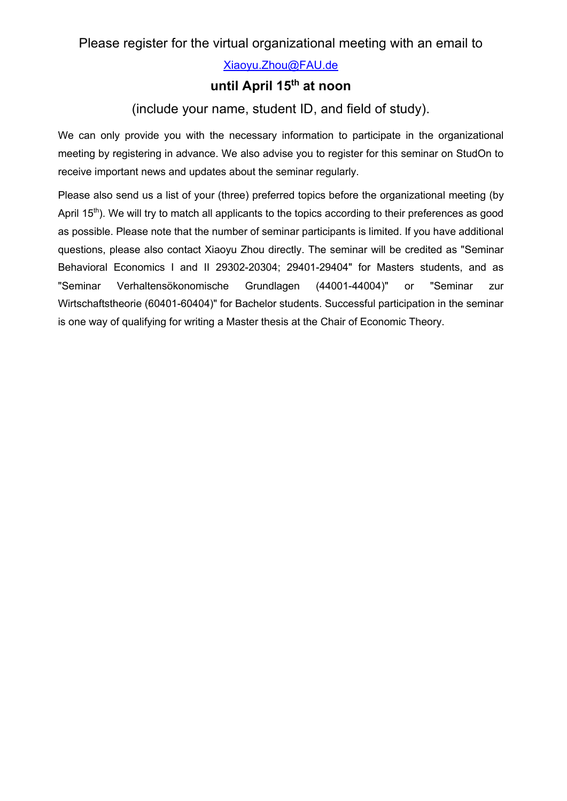Xiaoyu.Zhou@FAU.de

## **until April 15th at noon**

### (include your name, student ID, and field of study).

We can only provide you with the necessary information to participate in the organizational meeting by registering in advance. We also advise you to register for this seminar on StudOn to receive important news and updates about the seminar regularly.

Please also send us a list of your (three) preferred topics before the organizational meeting (by April  $15<sup>th</sup>$ ). We will try to match all applicants to the topics according to their preferences as good as possible. Please note that the number of seminar participants is limited. If you have additional questions, please also contact Xiaoyu Zhou directly. The seminar will be credited as "Seminar Behavioral Economics I and II 29302-20304; 29401-29404" for Masters students, and as "Seminar Verhaltensökonomische Grundlagen (44001-44004)" or "Seminar zur Wirtschaftstheorie (60401-60404)" for Bachelor students. Successful participation in the seminar is one way of qualifying for writing a Master thesis at the Chair of Economic Theory.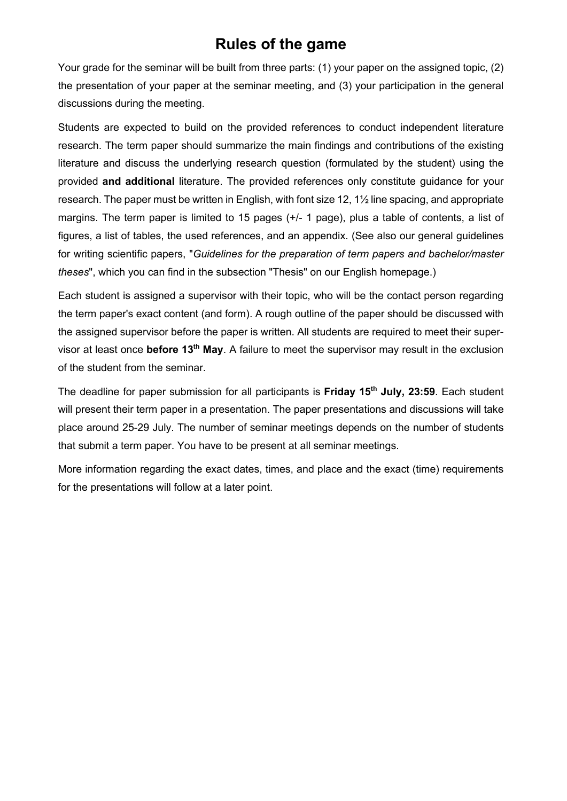# **Rules of the game**

Your grade for the seminar will be built from three parts: (1) your paper on the assigned topic, (2) the presentation of your paper at the seminar meeting, and (3) your participation in the general discussions during the meeting.

Students are expected to build on the provided references to conduct independent literature research. The term paper should summarize the main findings and contributions of the existing literature and discuss the underlying research question (formulated by the student) using the provided **and additional** literature. The provided references only constitute guidance for your research. The paper must be written in English, with font size 12, 1½ line spacing, and appropriate margins. The term paper is limited to 15 pages (+/- 1 page), plus a table of contents, a list of figures, a list of tables, the used references, and an appendix. (See also our general guidelines for writing scientific papers, "*Guidelines for the preparation of term papers and bachelor/master theses*", which you can find in the subsection "Thesis" on our English homepage.)

Each student is assigned a supervisor with their topic, who will be the contact person regarding the term paper's exact content (and form). A rough outline of the paper should be discussed with the assigned supervisor before the paper is written. All students are required to meet their supervisor at least once **before 13th May**. A failure to meet the supervisor may result in the exclusion of the student from the seminar.

The deadline for paper submission for all participants is **Friday 15th July, 23:59**. Each student will present their term paper in a presentation. The paper presentations and discussions will take place around 25-29 July. The number of seminar meetings depends on the number of students that submit a term paper. You have to be present at all seminar meetings.

More information regarding the exact dates, times, and place and the exact (time) requirements for the presentations will follow at a later point.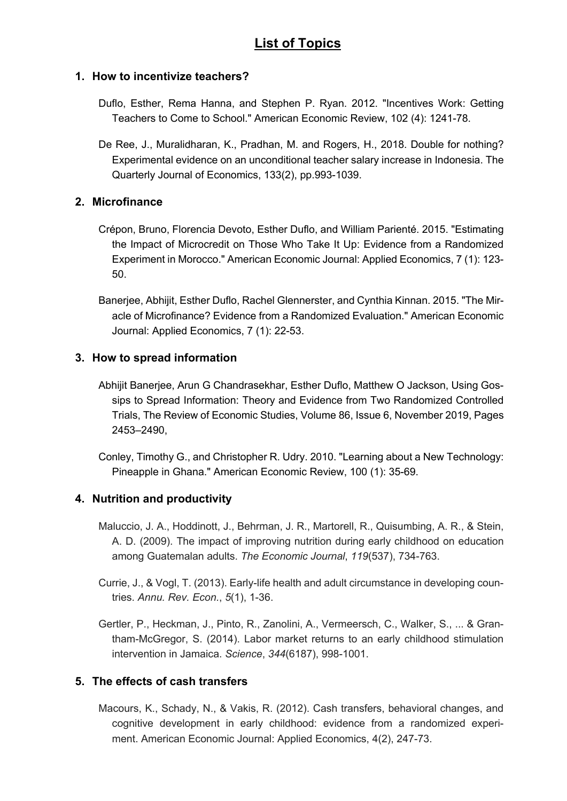### **List of Topics**

#### **1. How to incentivize teachers?**

- Duflo, Esther, Rema Hanna, and Stephen P. Ryan. 2012. "Incentives Work: Getting Teachers to Come to School." American Economic Review, 102 (4): 1241-78.
- De Ree, J., Muralidharan, K., Pradhan, M. and Rogers, H., 2018. Double for nothing? Experimental evidence on an unconditional teacher salary increase in Indonesia. The Quarterly Journal of Economics, 133(2), pp.993-1039.

#### **2. Microfinance**

- Crépon, Bruno, Florencia Devoto, Esther Duflo, and William Parienté. 2015. "Estimating the Impact of Microcredit on Those Who Take It Up: Evidence from a Randomized Experiment in Morocco." American Economic Journal: Applied Economics, 7 (1): 123- 50.
- Banerjee, Abhijit, Esther Duflo, Rachel Glennerster, and Cynthia Kinnan. 2015. "The Miracle of Microfinance? Evidence from a Randomized Evaluation." American Economic Journal: Applied Economics, 7 (1): 22-53.

#### **3. How to spread information**

- Abhijit Banerjee, Arun G Chandrasekhar, Esther Duflo, Matthew O Jackson, Using Gossips to Spread Information: Theory and Evidence from Two Randomized Controlled Trials, The Review of Economic Studies, Volume 86, Issue 6, November 2019, Pages 2453–2490,
- Conley, Timothy G., and Christopher R. Udry. 2010. "Learning about a New Technology: Pineapple in Ghana." American Economic Review, 100 (1): 35-69.

#### **4. Nutrition and productivity**

- Maluccio, J. A., Hoddinott, J., Behrman, J. R., Martorell, R., Quisumbing, A. R., & Stein, A. D. (2009). The impact of improving nutrition during early childhood on education among Guatemalan adults. *The Economic Journal*, *119*(537), 734-763.
- Currie, J., & Vogl, T. (2013). Early-life health and adult circumstance in developing countries. *Annu. Rev. Econ.*, *5*(1), 1-36.
- Gertler, P., Heckman, J., Pinto, R., Zanolini, A., Vermeersch, C., Walker, S., ... & Grantham-McGregor, S. (2014). Labor market returns to an early childhood stimulation intervention in Jamaica. *Science*, *344*(6187), 998-1001.

#### **5. The effects of cash transfers**

Macours, K., Schady, N., & Vakis, R. (2012). Cash transfers, behavioral changes, and cognitive development in early childhood: evidence from a randomized experiment. American Economic Journal: Applied Economics, 4(2), 247-73.